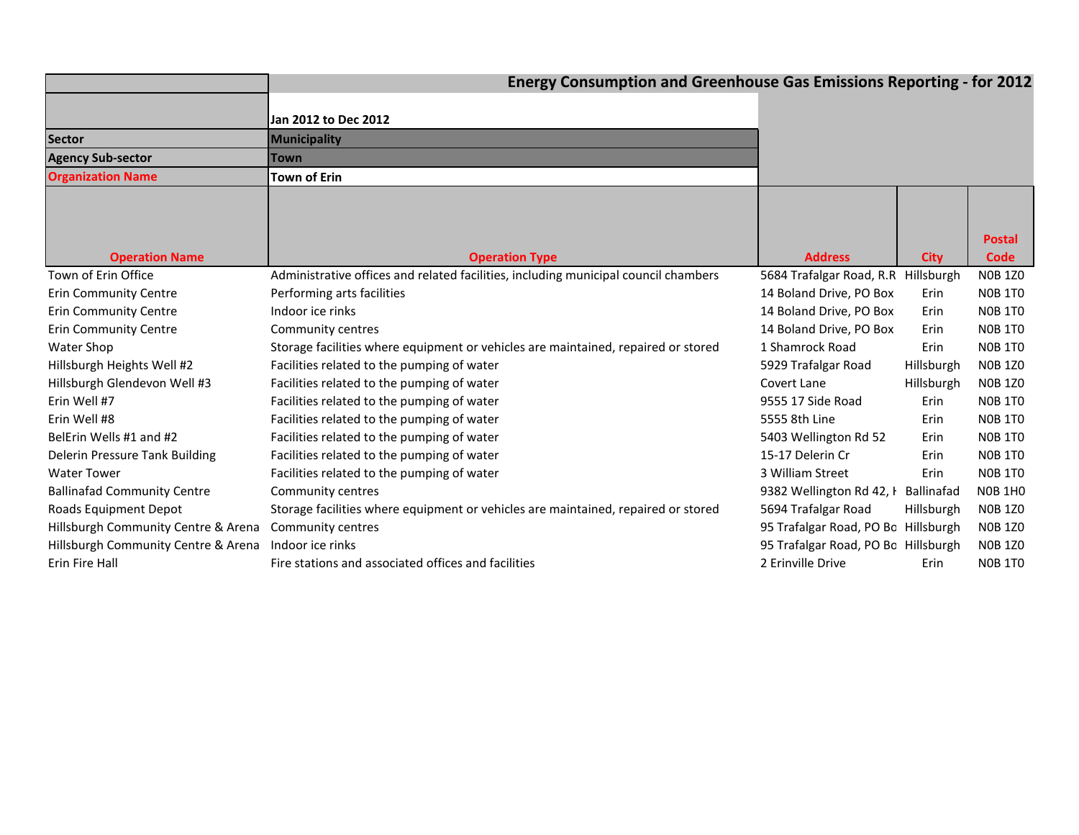|                                     | <b>Energy Consumption and Greenhouse Gas Emissions Reporting - for 2012</b>         |                                     |             |                       |  |  |  |  |  |
|-------------------------------------|-------------------------------------------------------------------------------------|-------------------------------------|-------------|-----------------------|--|--|--|--|--|
|                                     |                                                                                     |                                     |             |                       |  |  |  |  |  |
|                                     | Jan 2012 to Dec 2012                                                                |                                     |             |                       |  |  |  |  |  |
| <b>Sector</b>                       | Municipality                                                                        |                                     |             |                       |  |  |  |  |  |
| <b>Agency Sub-sector</b>            | <b>Town</b>                                                                         |                                     |             |                       |  |  |  |  |  |
| <b>Organization Name</b>            | <b>Town of Erin</b>                                                                 |                                     |             |                       |  |  |  |  |  |
| <b>Operation Name</b>               | <b>Operation Type</b>                                                               | <b>Address</b>                      | <b>City</b> | <b>Postal</b><br>Code |  |  |  |  |  |
| Town of Erin Office                 | Administrative offices and related facilities, including municipal council chambers | 5684 Trafalgar Road, R.R Hillsburgh |             | <b>NOB 1Z0</b>        |  |  |  |  |  |
| <b>Erin Community Centre</b>        | Performing arts facilities                                                          | 14 Boland Drive, PO Box             | Erin        | <b>NOB 1TO</b>        |  |  |  |  |  |
| <b>Erin Community Centre</b>        | Indoor ice rinks                                                                    | 14 Boland Drive, PO Box             | Erin        | <b>NOB 1TO</b>        |  |  |  |  |  |
| <b>Erin Community Centre</b>        | Community centres                                                                   | 14 Boland Drive, PO Box             | Erin        | <b>NOB 1TO</b>        |  |  |  |  |  |
| Water Shop                          | Storage facilities where equipment or vehicles are maintained, repaired or stored   | 1 Shamrock Road                     | Erin        | <b>N0B 1T0</b>        |  |  |  |  |  |
| Hillsburgh Heights Well #2          | Facilities related to the pumping of water                                          | 5929 Trafalgar Road                 | Hillsburgh  | <b>NOB 1Z0</b>        |  |  |  |  |  |
| Hillsburgh Glendevon Well #3        | Facilities related to the pumping of water                                          | Covert Lane                         | Hillsburgh  | <b>NOB 1Z0</b>        |  |  |  |  |  |
| Erin Well #7                        | Facilities related to the pumping of water                                          | 9555 17 Side Road                   | <b>Erin</b> | <b>NOB 1TO</b>        |  |  |  |  |  |
| Erin Well #8                        | Facilities related to the pumping of water                                          | 5555 8th Line                       | Erin        | <b>NOB 1TO</b>        |  |  |  |  |  |
| BelErin Wells #1 and #2             | Facilities related to the pumping of water                                          | 5403 Wellington Rd 52               | Erin        | <b>NOB 1TO</b>        |  |  |  |  |  |
| Delerin Pressure Tank Building      | Facilities related to the pumping of water                                          | 15-17 Delerin Cr                    | Erin        | <b>NOB 1TO</b>        |  |  |  |  |  |
| <b>Water Tower</b>                  | Facilities related to the pumping of water                                          | 3 William Street                    | Erin        | <b>NOB 1TO</b>        |  |  |  |  |  |
| <b>Ballinafad Community Centre</b>  | Community centres                                                                   | 9382 Wellington Rd 42, I Ballinafad |             | <b>NOB 1HO</b>        |  |  |  |  |  |
| Roads Equipment Depot               | Storage facilities where equipment or vehicles are maintained, repaired or stored   | 5694 Trafalgar Road                 | Hillsburgh  | <b>NOB 1Z0</b>        |  |  |  |  |  |
| Hillsburgh Community Centre & Arena | Community centres                                                                   | 95 Trafalgar Road, PO Bo Hillsburgh |             | <b>NOB 1Z0</b>        |  |  |  |  |  |
| Hillsburgh Community Centre & Arena | Indoor ice rinks                                                                    | 95 Trafalgar Road, PO Bc Hillsburgh |             | <b>NOB 1Z0</b>        |  |  |  |  |  |
| Erin Fire Hall                      | Fire stations and associated offices and facilities                                 | 2 Erinville Drive                   | Erin        | <b>NOB 1TO</b>        |  |  |  |  |  |
|                                     |                                                                                     |                                     |             |                       |  |  |  |  |  |